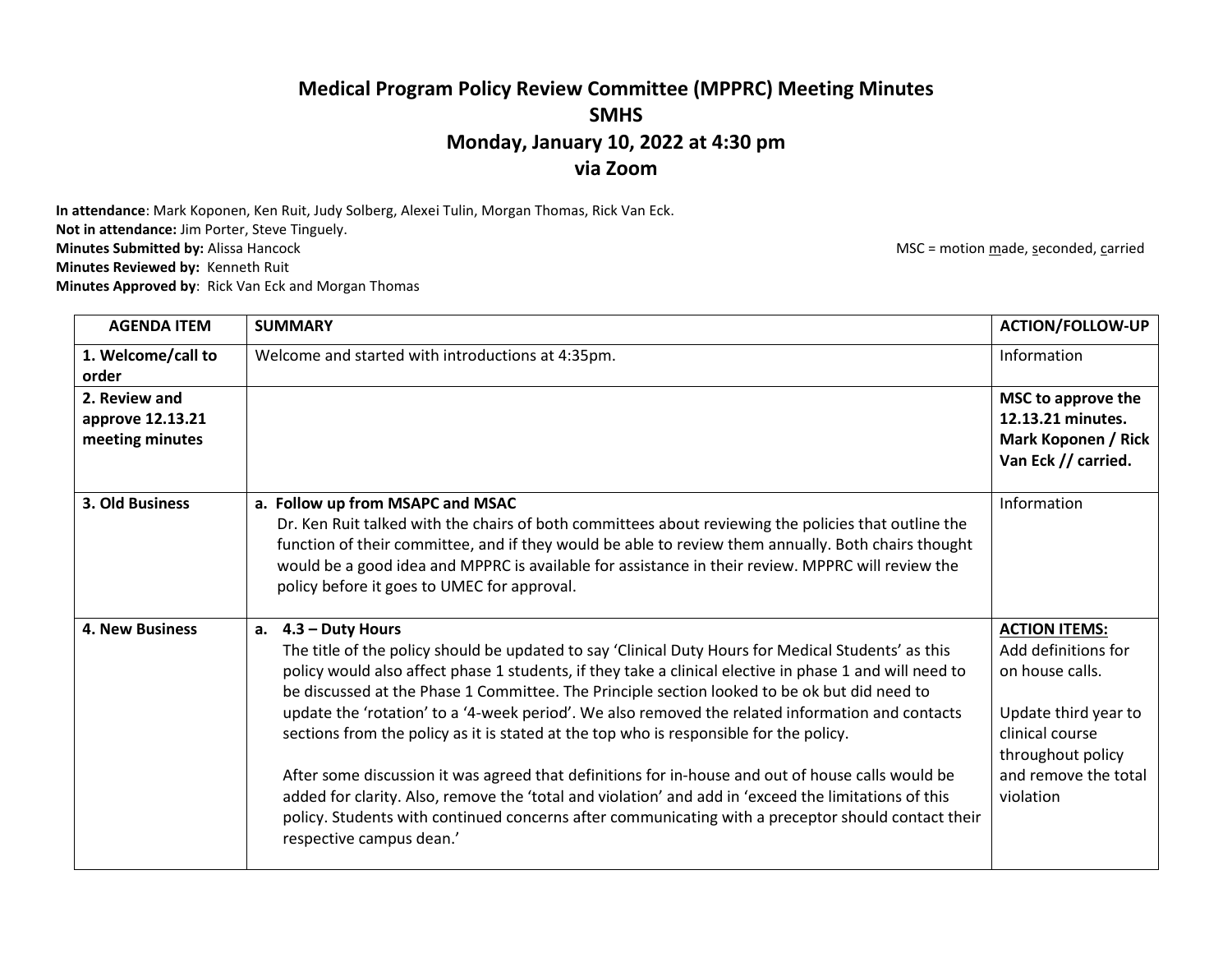## **Medical Program Policy Review Committee (MPPRC) Meeting Minutes SMHS Monday, January 10, 2022 at 4:30 pm via Zoom**

**In attendance**: Mark Koponen, Ken Ruit, Judy Solberg, Alexei Tulin, Morgan Thomas, Rick Van Eck. **Not in attendance:** Jim Porter, Steve Tinguely.<br>**Minutes Submitted by:** Alissa Hancock **Minutes Reviewed by:** Kenneth Ruit

**Minutes Approved by**: Rick Van Eck and Morgan Thomas

**MSC** = motion made, seconded, carried

| <b>AGENDA ITEM</b>                                   | <b>SUMMARY</b>                                                                                                                                                                                                                                                                                                                                                                                                                                                                                                                                                                                                                                                                                                                                                                                                                                                                          | <b>ACTION/FOLLOW-UP</b>                                                                                                                                             |
|------------------------------------------------------|-----------------------------------------------------------------------------------------------------------------------------------------------------------------------------------------------------------------------------------------------------------------------------------------------------------------------------------------------------------------------------------------------------------------------------------------------------------------------------------------------------------------------------------------------------------------------------------------------------------------------------------------------------------------------------------------------------------------------------------------------------------------------------------------------------------------------------------------------------------------------------------------|---------------------------------------------------------------------------------------------------------------------------------------------------------------------|
| 1. Welcome/call to<br>order                          | Welcome and started with introductions at 4:35pm.                                                                                                                                                                                                                                                                                                                                                                                                                                                                                                                                                                                                                                                                                                                                                                                                                                       | Information                                                                                                                                                         |
| 2. Review and<br>approve 12.13.21<br>meeting minutes |                                                                                                                                                                                                                                                                                                                                                                                                                                                                                                                                                                                                                                                                                                                                                                                                                                                                                         | MSC to approve the<br>12.13.21 minutes.<br>Mark Koponen / Rick<br>Van Eck // carried.                                                                               |
| 3. Old Business                                      | a. Follow up from MSAPC and MSAC<br>Dr. Ken Ruit talked with the chairs of both committees about reviewing the policies that outline the<br>function of their committee, and if they would be able to review them annually. Both chairs thought<br>would be a good idea and MPPRC is available for assistance in their review. MPPRC will review the<br>policy before it goes to UMEC for approval.                                                                                                                                                                                                                                                                                                                                                                                                                                                                                     | Information                                                                                                                                                         |
| <b>4. New Business</b>                               | $4.3 -$ Duty Hours<br>a.<br>The title of the policy should be updated to say 'Clinical Duty Hours for Medical Students' as this<br>policy would also affect phase 1 students, if they take a clinical elective in phase 1 and will need to<br>be discussed at the Phase 1 Committee. The Principle section looked to be ok but did need to<br>update the 'rotation' to a '4-week period'. We also removed the related information and contacts<br>sections from the policy as it is stated at the top who is responsible for the policy.<br>After some discussion it was agreed that definitions for in-house and out of house calls would be<br>added for clarity. Also, remove the 'total and violation' and add in 'exceed the limitations of this<br>policy. Students with continued concerns after communicating with a preceptor should contact their<br>respective campus dean.' | <b>ACTION ITEMS:</b><br>Add definitions for<br>on house calls.<br>Update third year to<br>clinical course<br>throughout policy<br>and remove the total<br>violation |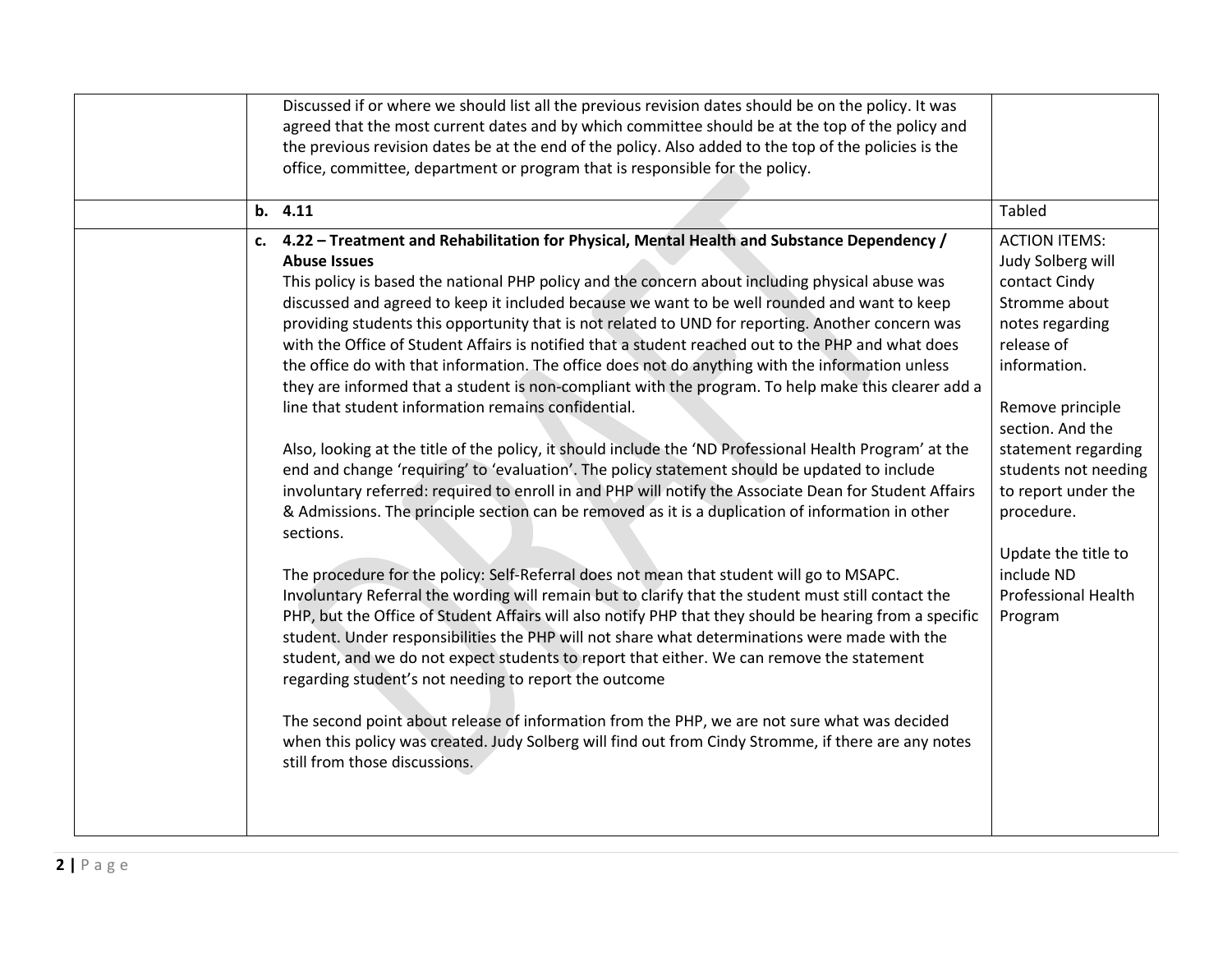|  |    | Discussed if or where we should list all the previous revision dates should be on the policy. It was<br>agreed that the most current dates and by which committee should be at the top of the policy and<br>the previous revision dates be at the end of the policy. Also added to the top of the policies is the<br>office, committee, department or program that is responsible for the policy.<br>b. 4.11                                                                                                                                                                                                                                                                                                                                                                                                                                                                                                                                                                                                                                                                                                                                                                                                                                                                                                                                                                                                                                                                                                                                                                                                                                                                                                                                                                                                                                                                                                                                             | <b>Tabled</b>                                                                                                                                                                                                                                                                                           |
|--|----|----------------------------------------------------------------------------------------------------------------------------------------------------------------------------------------------------------------------------------------------------------------------------------------------------------------------------------------------------------------------------------------------------------------------------------------------------------------------------------------------------------------------------------------------------------------------------------------------------------------------------------------------------------------------------------------------------------------------------------------------------------------------------------------------------------------------------------------------------------------------------------------------------------------------------------------------------------------------------------------------------------------------------------------------------------------------------------------------------------------------------------------------------------------------------------------------------------------------------------------------------------------------------------------------------------------------------------------------------------------------------------------------------------------------------------------------------------------------------------------------------------------------------------------------------------------------------------------------------------------------------------------------------------------------------------------------------------------------------------------------------------------------------------------------------------------------------------------------------------------------------------------------------------------------------------------------------------|---------------------------------------------------------------------------------------------------------------------------------------------------------------------------------------------------------------------------------------------------------------------------------------------------------|
|  |    | 4.22 - Treatment and Rehabilitation for Physical, Mental Health and Substance Dependency /                                                                                                                                                                                                                                                                                                                                                                                                                                                                                                                                                                                                                                                                                                                                                                                                                                                                                                                                                                                                                                                                                                                                                                                                                                                                                                                                                                                                                                                                                                                                                                                                                                                                                                                                                                                                                                                               | <b>ACTION ITEMS:</b>                                                                                                                                                                                                                                                                                    |
|  | c. | <b>Abuse Issues</b><br>This policy is based the national PHP policy and the concern about including physical abuse was<br>discussed and agreed to keep it included because we want to be well rounded and want to keep<br>providing students this opportunity that is not related to UND for reporting. Another concern was<br>with the Office of Student Affairs is notified that a student reached out to the PHP and what does<br>the office do with that information. The office does not do anything with the information unless<br>they are informed that a student is non-compliant with the program. To help make this clearer add a<br>line that student information remains confidential.<br>Also, looking at the title of the policy, it should include the 'ND Professional Health Program' at the<br>end and change 'requiring' to 'evaluation'. The policy statement should be updated to include<br>involuntary referred: required to enroll in and PHP will notify the Associate Dean for Student Affairs<br>& Admissions. The principle section can be removed as it is a duplication of information in other<br>sections.<br>The procedure for the policy: Self-Referral does not mean that student will go to MSAPC.<br>Involuntary Referral the wording will remain but to clarify that the student must still contact the<br>PHP, but the Office of Student Affairs will also notify PHP that they should be hearing from a specific<br>student. Under responsibilities the PHP will not share what determinations were made with the<br>student, and we do not expect students to report that either. We can remove the statement<br>regarding student's not needing to report the outcome<br>The second point about release of information from the PHP, we are not sure what was decided<br>when this policy was created. Judy Solberg will find out from Cindy Stromme, if there are any notes<br>still from those discussions. | Judy Solberg will<br>contact Cindy<br>Stromme about<br>notes regarding<br>release of<br>information.<br>Remove principle<br>section. And the<br>statement regarding<br>students not needing<br>to report under the<br>procedure.<br>Update the title to<br>include ND<br>Professional Health<br>Program |
|  |    |                                                                                                                                                                                                                                                                                                                                                                                                                                                                                                                                                                                                                                                                                                                                                                                                                                                                                                                                                                                                                                                                                                                                                                                                                                                                                                                                                                                                                                                                                                                                                                                                                                                                                                                                                                                                                                                                                                                                                          |                                                                                                                                                                                                                                                                                                         |